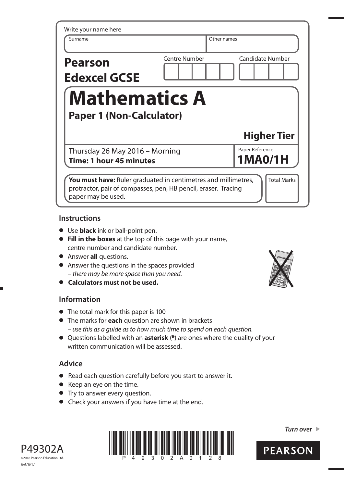| Write your name here                  |                      |                                   |
|---------------------------------------|----------------------|-----------------------------------|
| Surname                               |                      | Other names                       |
| <b>Pearson</b><br><b>Edexcel GCSE</b> | <b>Centre Number</b> | <b>Candidate Number</b>           |
|                                       |                      |                                   |
| <b>Mathematics A</b>                  |                      |                                   |
| <b>Paper 1 (Non-Calculator)</b>       |                      |                                   |
|                                       |                      | <b>Higher Tier</b>                |
| Thursday 26 May 2016 - Morning        |                      | Paper Reference<br><b>1MA0/1H</b> |

## **Instructions**

- **•** Use **black** ink or ball-point pen.
- **• Fill in the boxes** at the top of this page with your name, centre number and candidate number.
- **•** Answer **all** questions.
- **•** Answer the questions in the spaces provided – there may be more space than you need. **• Calculators must not be used.**
- 

### **Information**

- **•** The total mark for this paper is 100
- **•** The marks for **each** question are shown in brackets – use this as a guide as to how much time to spend on each question.
- **•** Questions labelled with an **asterisk** (**\***) are ones where the quality of your written communication will be assessed.

# **Advice**

- **•** Read each question carefully before you start to answer it.
- Read each question caref<br>• Keep an eye on the time. • Keep an eye on the time.<br>• Try to answer every question.
- 
- **•** Check your answers if you have time at the end.



*Turn over* 



P49302A ©2016 Pearson Education Ltd. 6/6/6/1/

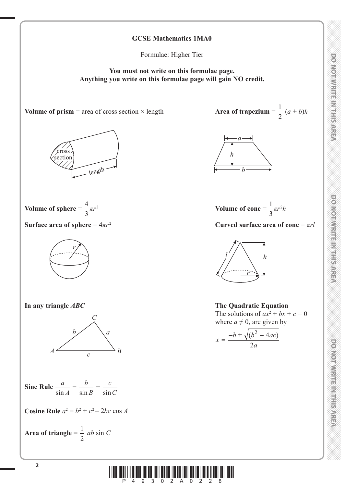# **DO NOTWRITE IN RIFLICAREA**

DO NOTWRITE IN THIS AREA



Formulae: Higher Tier

**You must not write on this formulae page. Anything you write on this formulae page will gain NO credit.**

**Volume of prism** = area of cross section  $\times$  length





Surface area of sphere =  $4\pi r^2$ 





**Sine Rule**  $\frac{a}{\sin A}$ *b B c*  $\frac{a}{\sin A} = \frac{b}{\sin B} = \frac{c}{\sin C}$ 

**Cosine Rule**  $a^2 = b^2 + c^2 - 2bc \cos A$ 

Area of triangle = 
$$
\frac{1}{2}
$$
 ab sin C

 $\frac{1}{2} (a + b)h$ 





**Surface area of sphere**  $= 4\pi r^2$  **Curved surface area of cone**  $= \pi rl$ 



**In any triangle** *ABC* **The Quadratic Equation**  $\Gamma$  The solutions of  $ax^2 + bx + c = 0$ 

where 
$$
a \neq 0
$$
, are given by  

$$
x = \frac{-b \pm \sqrt{(b^2 - 4ac)}}{2a}
$$

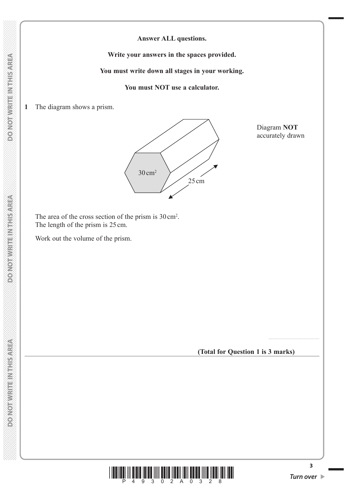**DONOT WRITEIN THIS AREA** 

**Answer ALL questions.**

**Write your answers in the spaces provided.**

**You must write down all stages in your working.**

**You must NOT use a calculator.**

**1** The diagram shows a prism.



Diagram **NOT** accurately drawn

The area of the cross section of the prism is  $30 \text{ cm}^2$ . The length of the prism is 25 cm.

Work out the volume of the prism.

**(Total for Question 1 is 3 marks)**



..........................................

**3**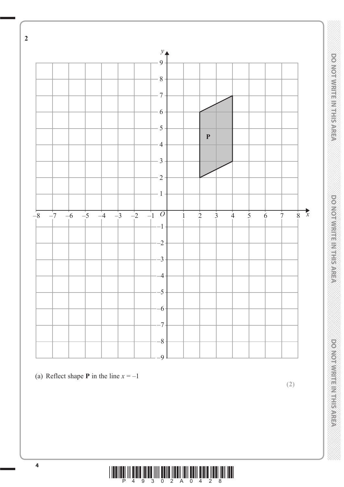

<sup>(</sup>a) Reflect shape **P** in the line  $x = -1$ 

**(2)**



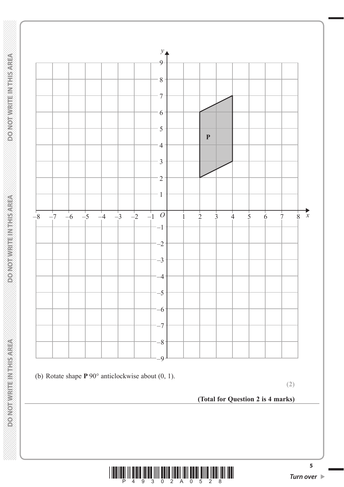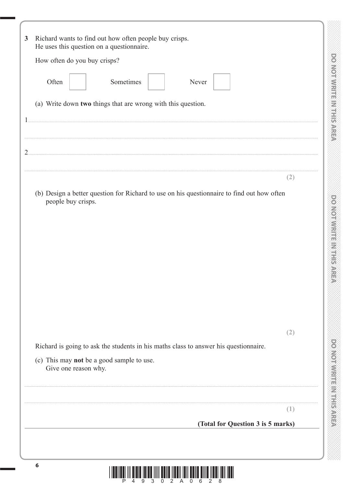| How often do you buy crisps?                                                               |     |
|--------------------------------------------------------------------------------------------|-----|
| Often<br>Sometimes<br>Never                                                                |     |
| (a) Write down two things that are wrong with this question.                               |     |
|                                                                                            |     |
|                                                                                            |     |
|                                                                                            |     |
|                                                                                            | (2) |
| (b) Design a better question for Richard to use on his questionnaire to find out how often |     |
| people buy crisps.                                                                         |     |
|                                                                                            |     |
|                                                                                            |     |
|                                                                                            |     |
|                                                                                            |     |
|                                                                                            |     |
|                                                                                            |     |
|                                                                                            | (2) |
| Richard is going to ask the students in his maths class to answer his questionnaire.       |     |
| (c) This may not be a good sample to use.<br>Give one reason why.                          |     |
|                                                                                            |     |
|                                                                                            |     |
|                                                                                            | L.  |
| (Total for Question 3 is 5 marks)                                                          |     |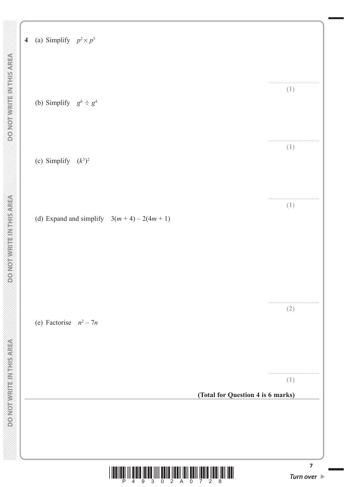

**7**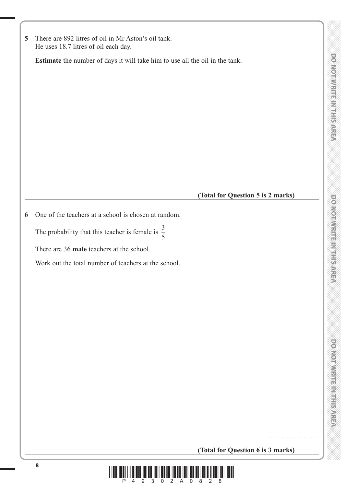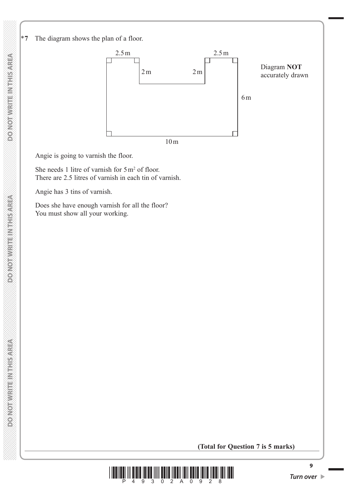

Angie is going to varnish the floor.

She needs 1 litre of varnish for  $5 \text{ m}^2$  of floor. There are 2.5 litres of varnish in each tin of varnish.

Angie has 3 tins of varnish.

 Does she have enough varnish for all the floor? You must show all your working.

### **(Total for Question 7 is 5 marks)**



**DO NOT WRITE IN THIS AREA**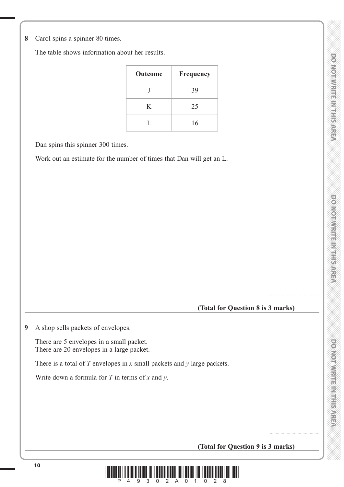**8** Carol spins a spinner 80 times.

The table shows information about her results.

| Outcome | Frequency |
|---------|-----------|
|         | 39        |
| K       | 25        |
| L       | 16        |

Dan spins this spinner 300 times.

Work out an estimate for the number of times that Dan will get an L.

**(Total for Question 8 is 3 marks)**

..........................................

..........................................

**9** A shop sells packets of envelopes.

 There are 5 envelopes in a small packet. There are 20 envelopes in a large packet.

There is a total of *T* envelopes in *x* small packets and *y* large packets.

Write down a formula for *T* in terms of *x* and *y*.

# **(Total for Question 9 is 3 marks)**

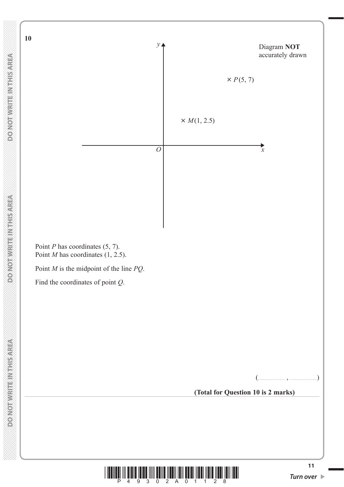**DO NOT WRITE IN THIS AREA** 

 **DO NOT WRITE IN THIS AREA DO NOT WRITE IN THIS AREA DO NOT WRITE IN THIS AREA DO NOT WRITE IN THIS AREA DO NOT WRITE IN THIS AREA DO NOT WRITE IN THE INTEGRATION OF THE INTEGRATION OF THE INTEGRATION OF THE INTEGRAL CONT DONOT WRITEIN THIS AREA** 

**DO NOT WRITE INTHIS AREA** 

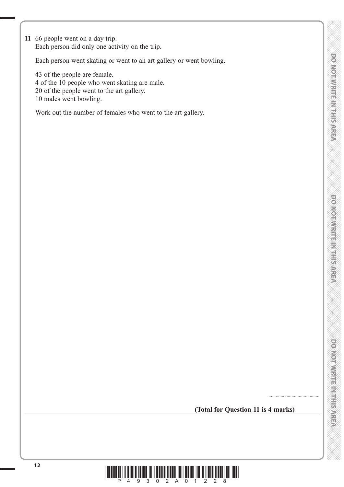**DONOTWITTERNHEISAREN** 

power in the manufacturer

..........................................

**11** 66 people went on a day trip. Each person did only one activity on the trip.

Each person went skating or went to an art gallery or went bowling.

 43 of the people are female. 4 of the 10 people who went skating are male. 20 of the people went to the art gallery. 10 males went bowling.

Work out the number of females who went to the art gallery.

**(Total for Question 11 is 4 marks)**

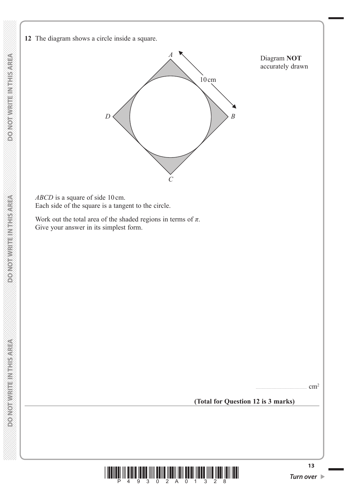

 *ABCD* is a square of side 10 cm. Each side of the square is a tangent to the circle.

Work out the total area of the shaded regions in terms of  $\pi$ . Give your answer in its simplest form.

 $cm<sup>2</sup>$ 

**(Total for Question 12 is 3 marks)**

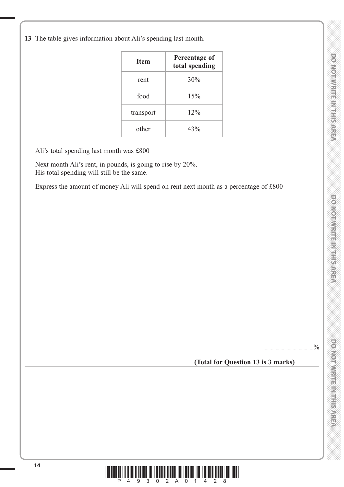DO NOTWRITE IN THIS AREA

 $.9/6$ 

**13** The table gives information about Ali's spending last month.

| <b>Item</b> | Percentage of<br>total spending |
|-------------|---------------------------------|
| rent        | 30%                             |
| food        | 15%                             |
| transport   | 12%                             |
| other       | 43%                             |

Ali's total spending last month was £800

 Next month Ali's rent, in pounds, is going to rise by 20%. His total spending will still be the same.

Express the amount of money Ali will spend on rent next month as a percentage of £800

**(Total for Question 13 is 3 marks)**

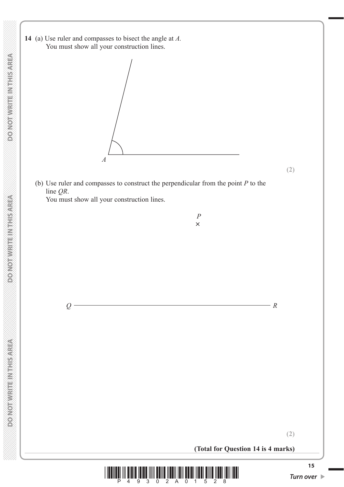**14** (a) Use ruler and compasses to bisect the angle at *A.* You must show all your construction lines.



 (b) Use ruler and compasses to construct the perpendicular from the point *P* to the line *QR*. You must show all your construction lines.

> *P*  $\times$





**(2)**

**(2)**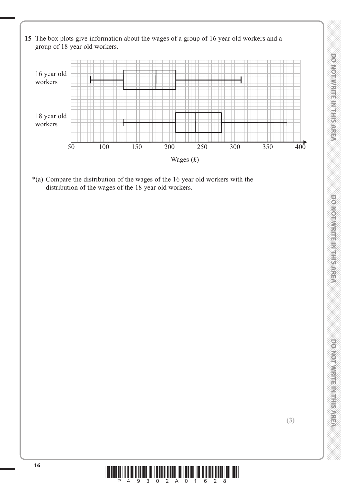**15** The box plots give information about the wages of a group of 16 year old workers and a group of 18 year old workers.



 \*(a) Compare the distribution of the wages of the 16 year old workers with the distribution of the wages of the 18 year old workers.

**(3)**

*DO NOT WRITE IN THIS AREA DO NOT WRITE IN THIS AREA DO NOT WRITE IN THIS AREA DO NOT WRITE IN THIS AREA DO NOT WRITE IN THIS AREA DO NOT WRITE IN THIS AREA DO NOT WRITE IN THIS AREA DO NOT WRITE IN THIS AREA DO NOT WRITE* 

**DONOINMENT ENTERNEER** 

**DONOIWRITE MITHIEMER** 

**DO NOTWITTERNI-ISAREA** 

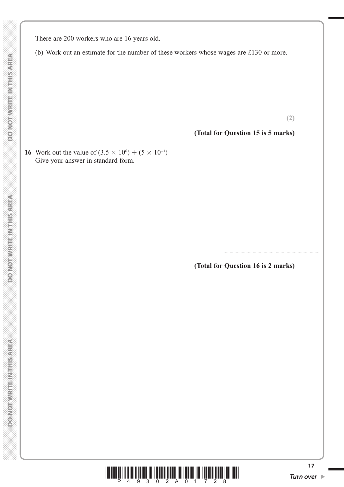There are 200 workers who are 16 years old.

(b) Work out an estimate for the number of these workers whose wages are £130 or more.

.......................................... **(2)**

**(Total for Question 15 is 5 marks)**

**16** Work out the value of  $(3.5 \times 10^6) \div (5 \times 10^{-3})$ Give your answer in standard form.

**(Total for Question 16 is 2 marks)**

...............................................................................

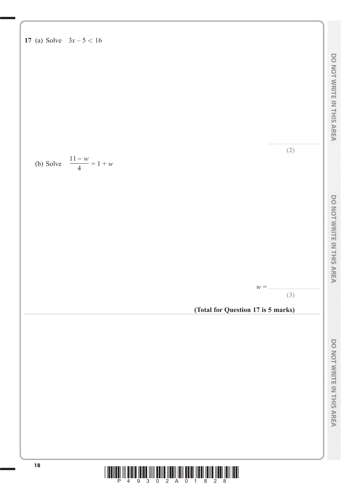

18 **18 1994 1995 1994 1995 1995 1995 1995 1995 1995 1995 1995 1995 1995 1995 1995 1995 1995 1995 1995 1995 1995 1995 1995 1995 1995 1995 1995 1995 1995 1995 199**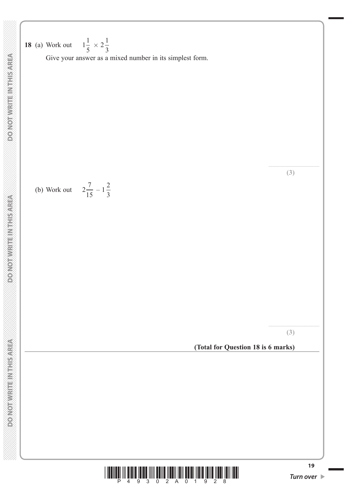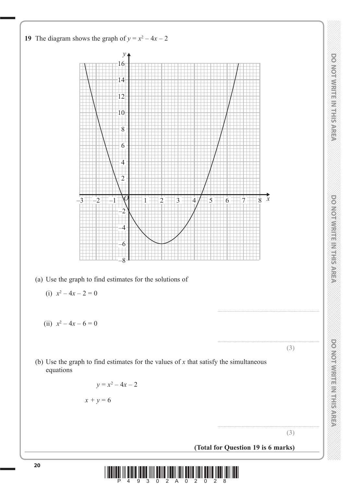



DO NOT WRITE IN THIS AREA

DO NOTWRITEINTHER AREA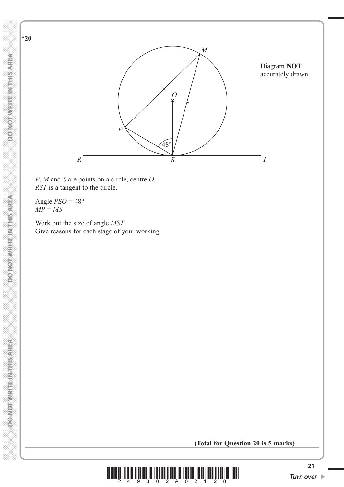$48^\circ$ Diagram **NOT** accurately drawn *O M R S T P*

*P*, *M* and *S* are points on a circle, centre *O*. *RST* is a tangent to the circle.

Angle  $PSO = 48^\circ$  $MP = MS$ 

 Work out the size of angle *MST*. Give reasons for each stage of your working.

### **(Total for Question 20 is 5 marks)**



\***20**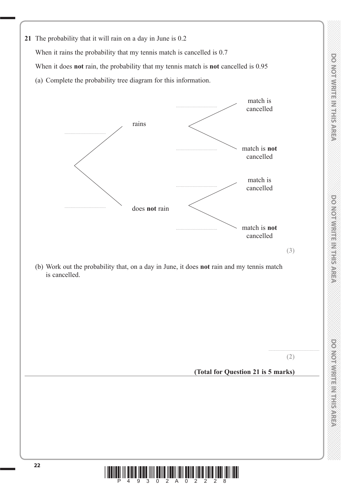

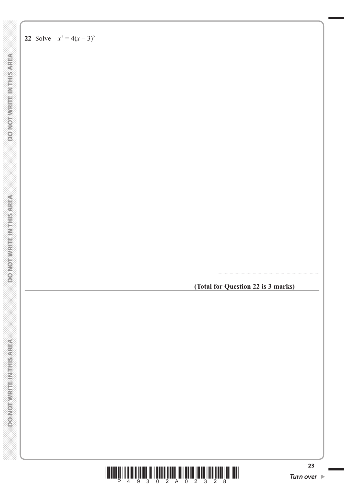**DONOTWRITEINTHSAREA** 

**DO NOT WRITE IN THIS AREA** 

### **22** Solve  $x^2 = 4(x-3)^2$

**(Total for Question 22 is 3 marks)**

....................................................................................

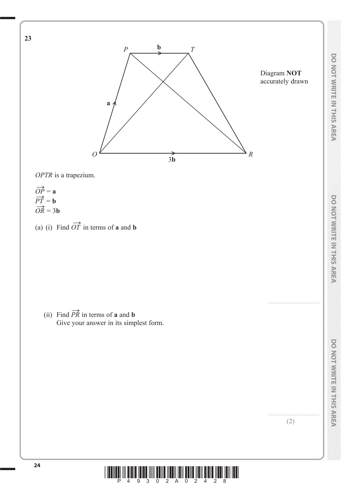

*OPTR* is a trapezium.

- $\overrightarrow{OP} = a$  $\overrightarrow{PT}$  = **b**  $\overrightarrow{OR}$  = 3**b**
- (a) (i) Find  $\overrightarrow{OT}$  in terms of **a** and **b**

(ii) Find  $\overrightarrow{PR}$  in terms of **a** and **b** Give your answer in its simplest form. ..........................................

*DO NOT WRITE IN THIS AREA DO NOT WRITE IN THIS AREA DO NOT WRITE IN THIS AREA DO NOT WRITE IN THIS AREA DO NOT WRITE IN THIS AREA DO NOT WRITE IN THIS AREA DO NOT WRITE IN THIS AREA DO NOT WRITE IN THIS AREA DO NOT WRITE* 

DO NOT WRITE IN THIS AREA

**DONOTWRITE MITHIEMS** 

DO NOT WRITE IN THIS AREA

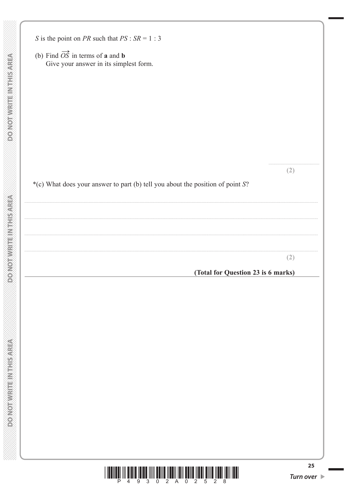$\langle \rangle$ 

 $\mathbb{R}$ 

 $\ldots$ 

 $\ldots$ 

 $\overline{\phantom{a}}$ 

| S is the point on PR such that $PS : SR = 1 : 3$                                                           |     |
|------------------------------------------------------------------------------------------------------------|-----|
| (b) Find $\overrightarrow{OS}$ in terms of <b>a</b> and <b>b</b><br>Give your answer in its simplest form. |     |
|                                                                                                            |     |
|                                                                                                            |     |
|                                                                                                            |     |
|                                                                                                            |     |
|                                                                                                            |     |
|                                                                                                            |     |
|                                                                                                            |     |
|                                                                                                            |     |
|                                                                                                            | (2) |
| *(c) What does your answer to part (b) tell you about the position of point S?                             |     |
|                                                                                                            |     |
|                                                                                                            |     |
|                                                                                                            |     |
|                                                                                                            |     |
|                                                                                                            | (2) |
| (Total for Question 23 is 6 marks)                                                                         |     |
|                                                                                                            |     |
|                                                                                                            |     |
|                                                                                                            |     |
|                                                                                                            |     |
|                                                                                                            |     |
|                                                                                                            |     |
|                                                                                                            |     |
|                                                                                                            |     |
|                                                                                                            |     |
|                                                                                                            |     |
|                                                                                                            |     |

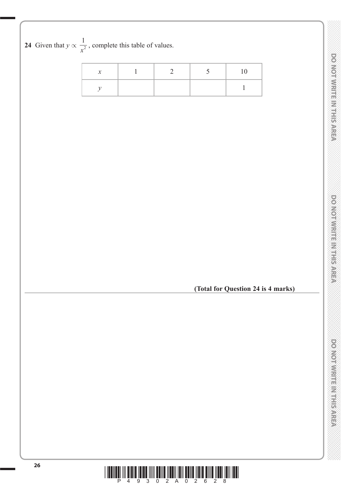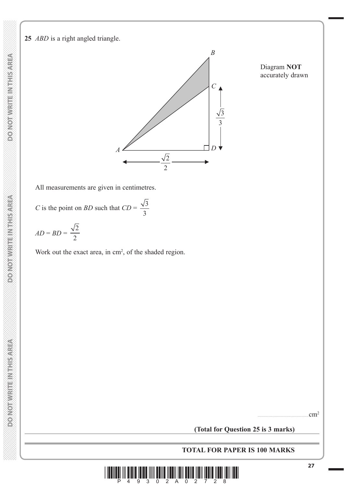**DO NOT WRITE INTHIS AREA DO NOT WRITE IN THIS AREA DO NOT WRITE IN THIS AREA DO NOT WRITE IN THIS AREA DO NOT WRITE IN THIS AREA DO NOT WRITE IN THIS AREA DO NOT WRITE IN THE INTEGRATION OF THE INTEGRATION OF THE INTEGRATION OF THE INTEGRAL CONT** 

**DONOT WRITE IN THIS AREA** 

**25** *ABD* is a right angled triangle.



Diagram **NOT** accurately drawn

All measurements are given in centimetres.

*C* is the point on *BD* such that  $CD = \frac{\sqrt{3}}{2}$ 3

$$
AD = BD = \frac{\sqrt{2}}{2}
$$

Work out the exact area, in  $\text{cm}^2$ , of the shaded region.

 $cm<sup>2</sup>$ 

**(Total for Question 25 is 3 marks)**

**TOTAL FOR PAPER IS 100 MARKS**